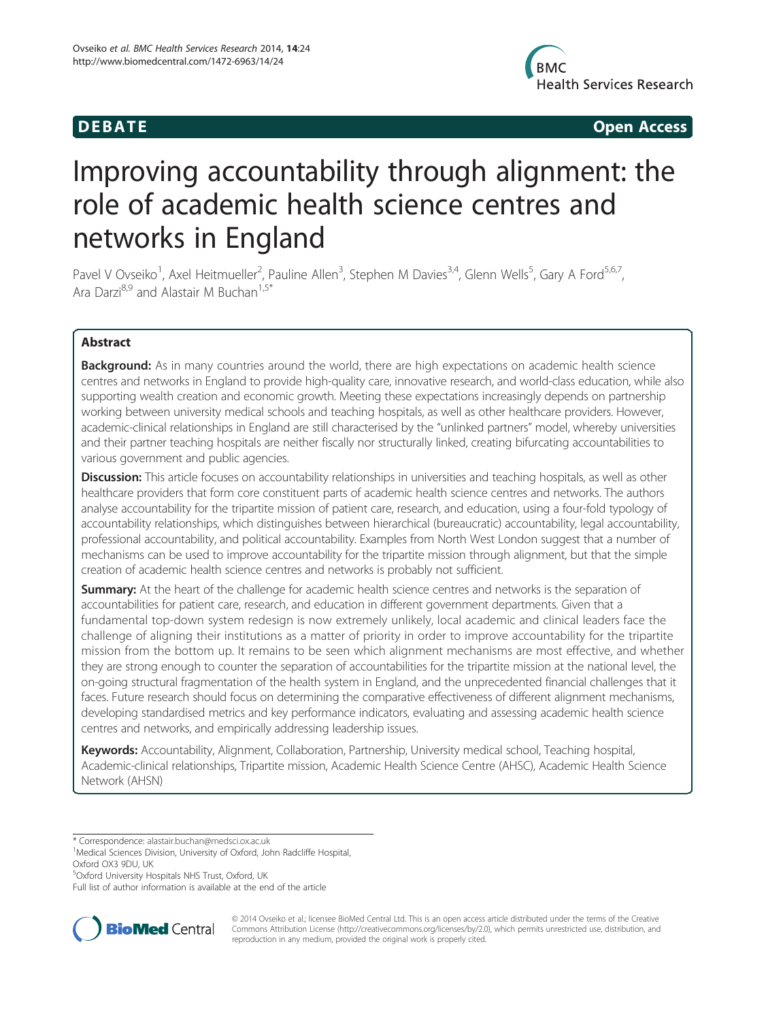

**DEBATE CONSIDERENT CONSIDERED ACCESS** 

# Improving accountability through alignment: the role of academic health science centres and networks in England

Pavel V Ovseiko<sup>1</sup>, Axel Heitmueller<sup>2</sup>, Pauline Allen<sup>3</sup>, Stephen M Davies<sup>3,4</sup>, Glenn Wells<sup>5</sup>, Gary A Ford<sup>5,6,7</sup>, Ara Darzi<sup>8,9</sup> and Alastair M Buchan<sup>1,5\*</sup>

# Abstract

Background: As in many countries around the world, there are high expectations on academic health science centres and networks in England to provide high-quality care, innovative research, and world-class education, while also supporting wealth creation and economic growth. Meeting these expectations increasingly depends on partnership working between university medical schools and teaching hospitals, as well as other healthcare providers. However, academic-clinical relationships in England are still characterised by the "unlinked partners" model, whereby universities and their partner teaching hospitals are neither fiscally nor structurally linked, creating bifurcating accountabilities to various government and public agencies.

Discussion: This article focuses on accountability relationships in universities and teaching hospitals, as well as other healthcare providers that form core constituent parts of academic health science centres and networks. The authors analyse accountability for the tripartite mission of patient care, research, and education, using a four-fold typology of accountability relationships, which distinguishes between hierarchical (bureaucratic) accountability, legal accountability, professional accountability, and political accountability. Examples from North West London suggest that a number of mechanisms can be used to improve accountability for the tripartite mission through alignment, but that the simple creation of academic health science centres and networks is probably not sufficient.

**Summary:** At the heart of the challenge for academic health science centres and networks is the separation of accountabilities for patient care, research, and education in different government departments. Given that a fundamental top-down system redesign is now extremely unlikely, local academic and clinical leaders face the challenge of aligning their institutions as a matter of priority in order to improve accountability for the tripartite mission from the bottom up. It remains to be seen which alignment mechanisms are most effective, and whether they are strong enough to counter the separation of accountabilities for the tripartite mission at the national level, the on-going structural fragmentation of the health system in England, and the unprecedented financial challenges that it faces. Future research should focus on determining the comparative effectiveness of different alignment mechanisms, developing standardised metrics and key performance indicators, evaluating and assessing academic health science centres and networks, and empirically addressing leadership issues.

Keywords: Accountability, Alignment, Collaboration, Partnership, University medical school, Teaching hospital, Academic-clinical relationships, Tripartite mission, Academic Health Science Centre (AHSC), Academic Health Science Network (AHSN)

Oxford OX3 9DU, UK

5 Oxford University Hospitals NHS Trust, Oxford, UK

Full list of author information is available at the end of the article



© 2014 Ovseiko et al.; licensee BioMed Central Ltd. This is an open access article distributed under the terms of the Creative Commons Attribution License [\(http://creativecommons.org/licenses/by/2.0\)](http://creativecommons.org/licenses/by/2.0), which permits unrestricted use, distribution, and reproduction in any medium, provided the original work is properly cited.

<sup>\*</sup> Correspondence: [alastair.buchan@medsci.ox.ac.uk](mailto:alastair.buchan@medsci.ox.ac.uk) <sup>1</sup>

<sup>&</sup>lt;sup>1</sup>Medical Sciences Division, University of Oxford, John Radcliffe Hospital,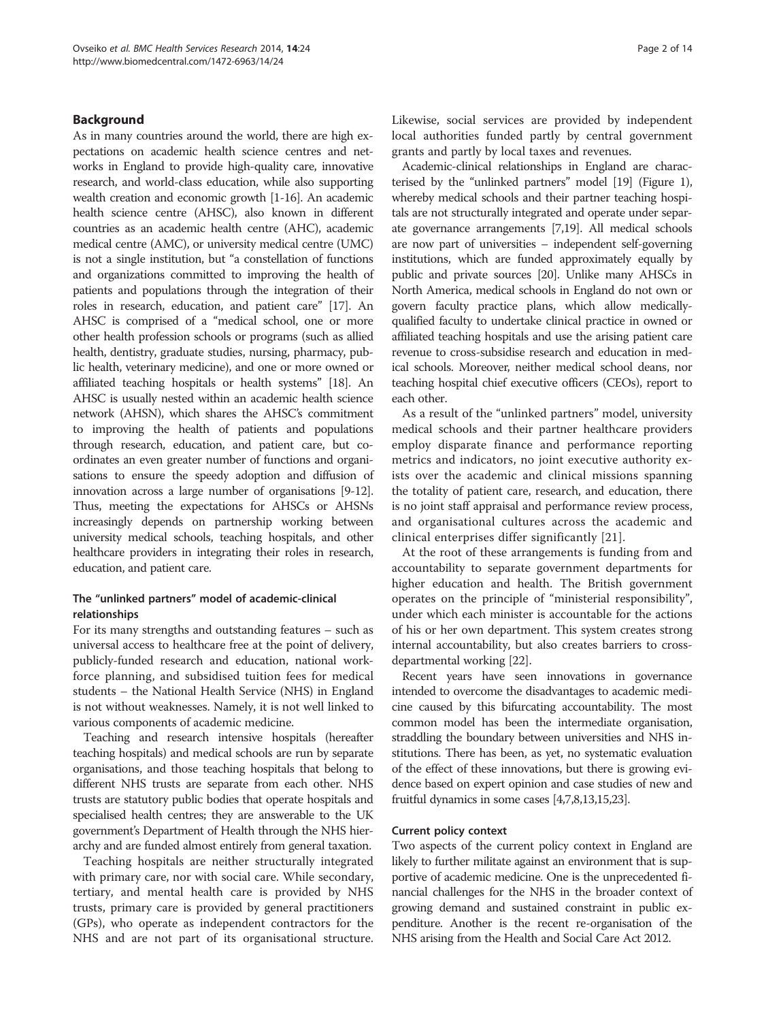# Background

As in many countries around the world, there are high expectations on academic health science centres and networks in England to provide high-quality care, innovative research, and world-class education, while also supporting wealth creation and economic growth [\[1-16\]](#page-12-0). An academic health science centre (AHSC), also known in different countries as an academic health centre (AHC), academic medical centre (AMC), or university medical centre (UMC) is not a single institution, but "a constellation of functions and organizations committed to improving the health of patients and populations through the integration of their roles in research, education, and patient care" [[17](#page-12-0)]. An AHSC is comprised of a "medical school, one or more other health profession schools or programs (such as allied health, dentistry, graduate studies, nursing, pharmacy, public health, veterinary medicine), and one or more owned or affiliated teaching hospitals or health systems" [[18\]](#page-12-0). An AHSC is usually nested within an academic health science network (AHSN), which shares the AHSC's commitment to improving the health of patients and populations through research, education, and patient care, but coordinates an even greater number of functions and organisations to ensure the speedy adoption and diffusion of innovation across a large number of organisations [\[9-12](#page-12-0)]. Thus, meeting the expectations for AHSCs or AHSNs increasingly depends on partnership working between university medical schools, teaching hospitals, and other healthcare providers in integrating their roles in research, education, and patient care.

# The "unlinked partners" model of academic-clinical relationships

For its many strengths and outstanding features – such as universal access to healthcare free at the point of delivery, publicly-funded research and education, national workforce planning, and subsidised tuition fees for medical students – the National Health Service (NHS) in England is not without weaknesses. Namely, it is not well linked to various components of academic medicine.

Teaching and research intensive hospitals (hereafter teaching hospitals) and medical schools are run by separate organisations, and those teaching hospitals that belong to different NHS trusts are separate from each other. NHS trusts are statutory public bodies that operate hospitals and specialised health centres; they are answerable to the UK government's Department of Health through the NHS hierarchy and are funded almost entirely from general taxation.

Teaching hospitals are neither structurally integrated with primary care, nor with social care. While secondary, tertiary, and mental health care is provided by NHS trusts, primary care is provided by general practitioners (GPs), who operate as independent contractors for the NHS and are not part of its organisational structure. Likewise, social services are provided by independent local authorities funded partly by central government grants and partly by local taxes and revenues.

Academic-clinical relationships in England are characterised by the "unlinked partners" model [[19](#page-12-0)] (Figure [1](#page-2-0)), whereby medical schools and their partner teaching hospitals are not structurally integrated and operate under separate governance arrangements [\[7,19\]](#page-12-0). All medical schools are now part of universities – independent self-governing institutions, which are funded approximately equally by public and private sources [\[20](#page-12-0)]. Unlike many AHSCs in North America, medical schools in England do not own or govern faculty practice plans, which allow medicallyqualified faculty to undertake clinical practice in owned or affiliated teaching hospitals and use the arising patient care revenue to cross-subsidise research and education in medical schools. Moreover, neither medical school deans, nor teaching hospital chief executive officers (CEOs), report to each other.

As a result of the "unlinked partners" model, university medical schools and their partner healthcare providers employ disparate finance and performance reporting metrics and indicators, no joint executive authority exists over the academic and clinical missions spanning the totality of patient care, research, and education, there is no joint staff appraisal and performance review process, and organisational cultures across the academic and clinical enterprises differ significantly [[21\]](#page-12-0).

At the root of these arrangements is funding from and accountability to separate government departments for higher education and health. The British government operates on the principle of "ministerial responsibility", under which each minister is accountable for the actions of his or her own department. This system creates strong internal accountability, but also creates barriers to crossdepartmental working [[22](#page-12-0)].

Recent years have seen innovations in governance intended to overcome the disadvantages to academic medicine caused by this bifurcating accountability. The most common model has been the intermediate organisation, straddling the boundary between universities and NHS institutions. There has been, as yet, no systematic evaluation of the effect of these innovations, but there is growing evidence based on expert opinion and case studies of new and fruitful dynamics in some cases [[4,7,8,13,15,23](#page-12-0)].

#### Current policy context

Two aspects of the current policy context in England are likely to further militate against an environment that is supportive of academic medicine. One is the unprecedented financial challenges for the NHS in the broader context of growing demand and sustained constraint in public expenditure. Another is the recent re-organisation of the NHS arising from the Health and Social Care Act 2012.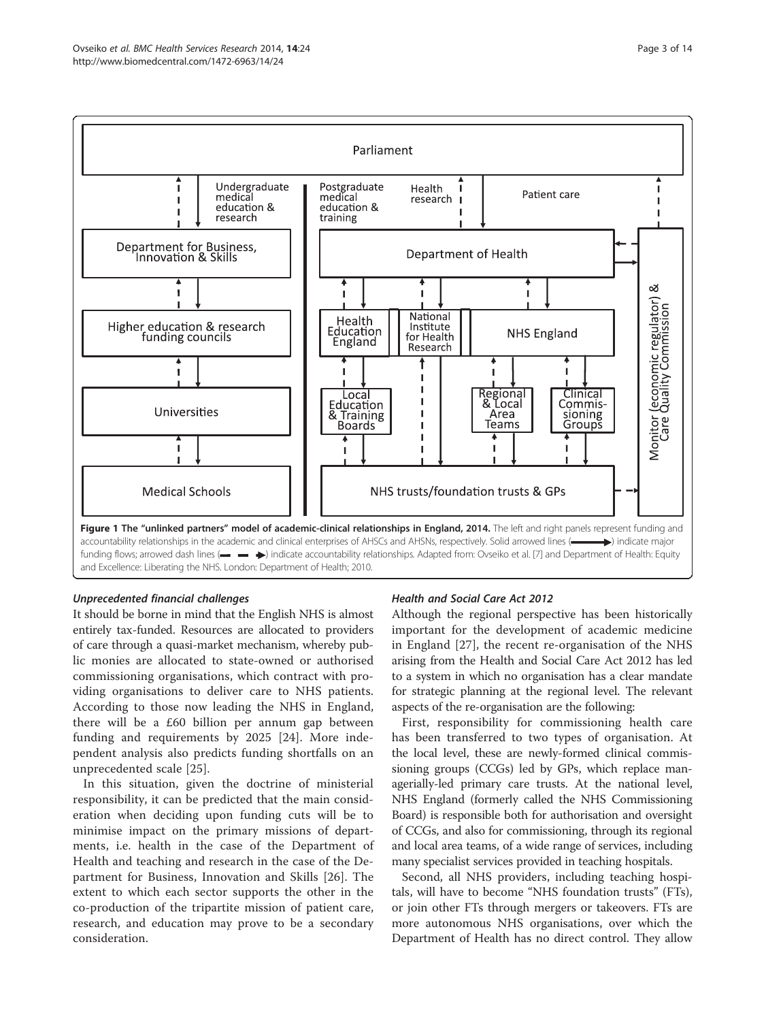<span id="page-2-0"></span>

#### Unprecedented financial challenges

It should be borne in mind that the English NHS is almost entirely tax-funded. Resources are allocated to providers of care through a quasi-market mechanism, whereby public monies are allocated to state-owned or authorised commissioning organisations, which contract with providing organisations to deliver care to NHS patients. According to those now leading the NHS in England, there will be a £60 billion per annum gap between funding and requirements by 2025 [[24\]](#page-12-0). More independent analysis also predicts funding shortfalls on an unprecedented scale [[25\]](#page-12-0).

In this situation, given the doctrine of ministerial responsibility, it can be predicted that the main consideration when deciding upon funding cuts will be to minimise impact on the primary missions of departments, i.e. health in the case of the Department of Health and teaching and research in the case of the Department for Business, Innovation and Skills [[26\]](#page-12-0). The extent to which each sector supports the other in the co-production of the tripartite mission of patient care, research, and education may prove to be a secondary consideration.

#### Health and Social Care Act 2012

Although the regional perspective has been historically important for the development of academic medicine in England [\[27](#page-12-0)], the recent re-organisation of the NHS arising from the Health and Social Care Act 2012 has led to a system in which no organisation has a clear mandate for strategic planning at the regional level. The relevant aspects of the re-organisation are the following:

First, responsibility for commissioning health care has been transferred to two types of organisation. At the local level, these are newly-formed clinical commissioning groups (CCGs) led by GPs, which replace managerially-led primary care trusts. At the national level, NHS England (formerly called the NHS Commissioning Board) is responsible both for authorisation and oversight of CCGs, and also for commissioning, through its regional and local area teams, of a wide range of services, including many specialist services provided in teaching hospitals.

Second, all NHS providers, including teaching hospitals, will have to become "NHS foundation trusts" (FTs), or join other FTs through mergers or takeovers. FTs are more autonomous NHS organisations, over which the Department of Health has no direct control. They allow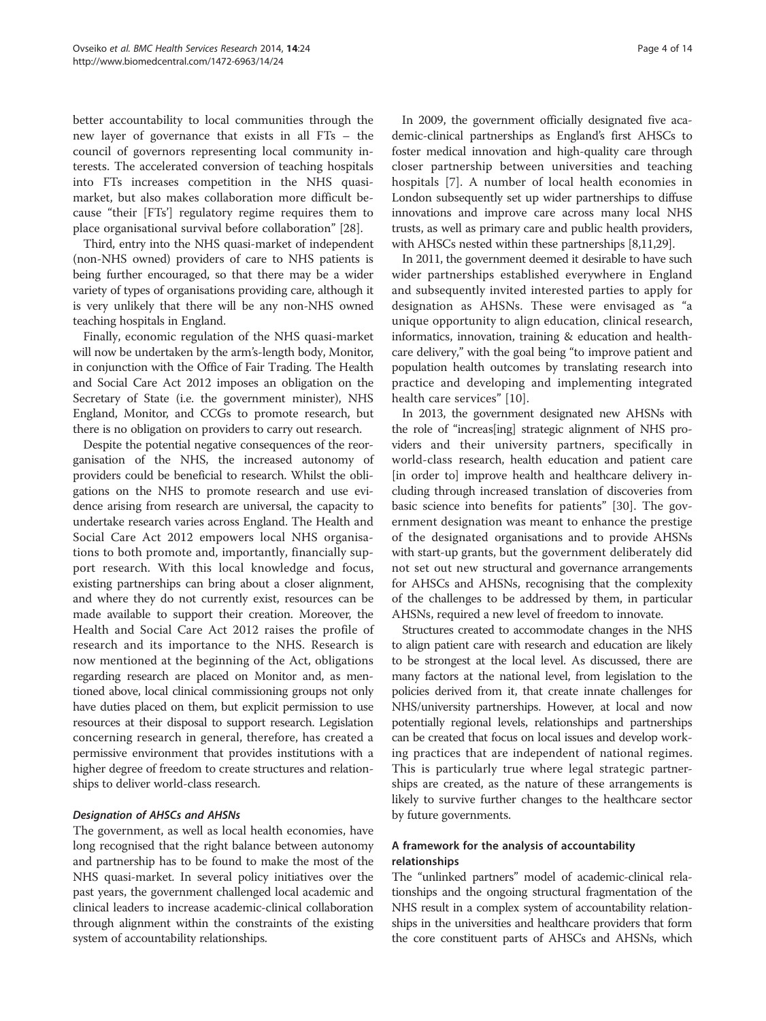better accountability to local communities through the new layer of governance that exists in all FTs – the council of governors representing local community interests. The accelerated conversion of teaching hospitals into FTs increases competition in the NHS quasimarket, but also makes collaboration more difficult because "their [FTs'] regulatory regime requires them to place organisational survival before collaboration" [\[28](#page-12-0)].

Third, entry into the NHS quasi-market of independent (non-NHS owned) providers of care to NHS patients is being further encouraged, so that there may be a wider variety of types of organisations providing care, although it is very unlikely that there will be any non-NHS owned teaching hospitals in England.

Finally, economic regulation of the NHS quasi-market will now be undertaken by the arm's-length body, Monitor, in conjunction with the Office of Fair Trading. The Health and Social Care Act 2012 imposes an obligation on the Secretary of State (i.e. the government minister), NHS England, Monitor, and CCGs to promote research, but there is no obligation on providers to carry out research.

Despite the potential negative consequences of the reorganisation of the NHS, the increased autonomy of providers could be beneficial to research. Whilst the obligations on the NHS to promote research and use evidence arising from research are universal, the capacity to undertake research varies across England. The Health and Social Care Act 2012 empowers local NHS organisations to both promote and, importantly, financially support research. With this local knowledge and focus, existing partnerships can bring about a closer alignment, and where they do not currently exist, resources can be made available to support their creation. Moreover, the Health and Social Care Act 2012 raises the profile of research and its importance to the NHS. Research is now mentioned at the beginning of the Act, obligations regarding research are placed on Monitor and, as mentioned above, local clinical commissioning groups not only have duties placed on them, but explicit permission to use resources at their disposal to support research. Legislation concerning research in general, therefore, has created a permissive environment that provides institutions with a higher degree of freedom to create structures and relationships to deliver world-class research.

# Designation of AHSCs and AHSNs

The government, as well as local health economies, have long recognised that the right balance between autonomy and partnership has to be found to make the most of the NHS quasi-market. In several policy initiatives over the past years, the government challenged local academic and clinical leaders to increase academic-clinical collaboration through alignment within the constraints of the existing system of accountability relationships.

In 2009, the government officially designated five academic-clinical partnerships as England's first AHSCs to foster medical innovation and high-quality care through closer partnership between universities and teaching hospitals [[7\]](#page-12-0). A number of local health economies in London subsequently set up wider partnerships to diffuse innovations and improve care across many local NHS trusts, as well as primary care and public health providers, with AHSCs nested within these partnerships [[8](#page-12-0),[11,29\]](#page-12-0).

In 2011, the government deemed it desirable to have such wider partnerships established everywhere in England and subsequently invited interested parties to apply for designation as AHSNs. These were envisaged as "a unique opportunity to align education, clinical research, informatics, innovation, training & education and healthcare delivery," with the goal being "to improve patient and population health outcomes by translating research into practice and developing and implementing integrated health care services" [\[10](#page-12-0)].

In 2013, the government designated new AHSNs with the role of "increas[ing] strategic alignment of NHS providers and their university partners, specifically in world-class research, health education and patient care [in order to] improve health and healthcare delivery including through increased translation of discoveries from basic science into benefits for patients" [\[30](#page-12-0)]. The government designation was meant to enhance the prestige of the designated organisations and to provide AHSNs with start-up grants, but the government deliberately did not set out new structural and governance arrangements for AHSCs and AHSNs, recognising that the complexity of the challenges to be addressed by them, in particular AHSNs, required a new level of freedom to innovate.

Structures created to accommodate changes in the NHS to align patient care with research and education are likely to be strongest at the local level. As discussed, there are many factors at the national level, from legislation to the policies derived from it, that create innate challenges for NHS/university partnerships. However, at local and now potentially regional levels, relationships and partnerships can be created that focus on local issues and develop working practices that are independent of national regimes. This is particularly true where legal strategic partnerships are created, as the nature of these arrangements is likely to survive further changes to the healthcare sector by future governments.

# A framework for the analysis of accountability relationships

The "unlinked partners" model of academic-clinical relationships and the ongoing structural fragmentation of the NHS result in a complex system of accountability relationships in the universities and healthcare providers that form the core constituent parts of AHSCs and AHSNs, which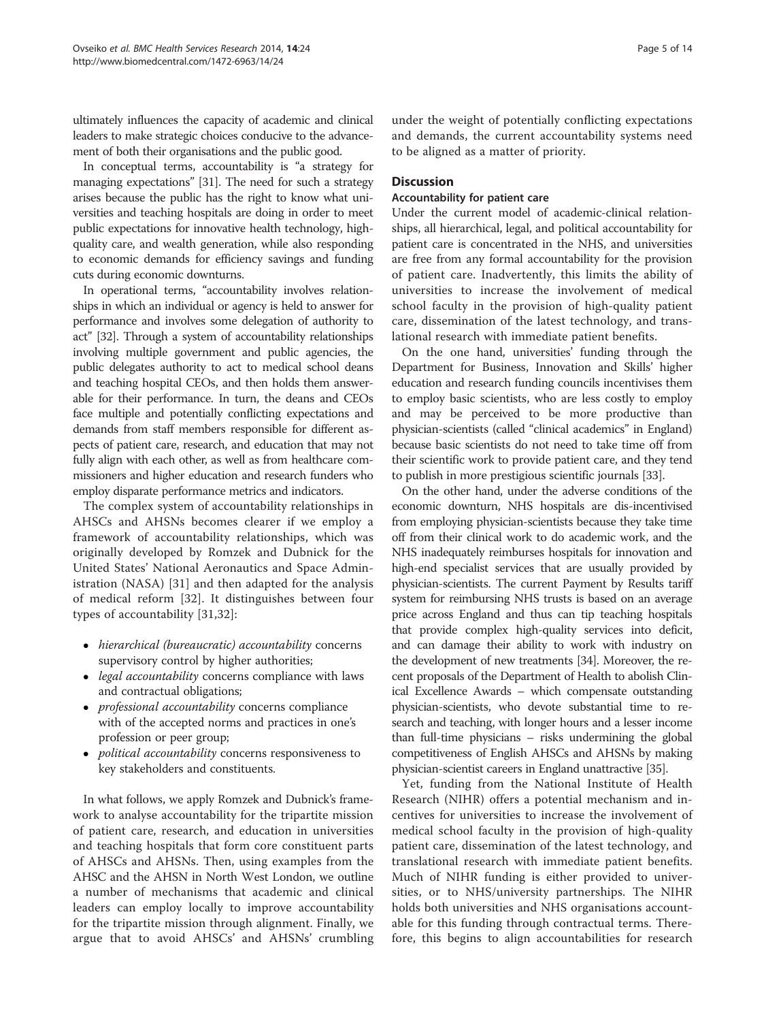ultimately influences the capacity of academic and clinical leaders to make strategic choices conducive to the advancement of both their organisations and the public good.

In conceptual terms, accountability is "a strategy for managing expectations" [\[31\]](#page-12-0). The need for such a strategy arises because the public has the right to know what universities and teaching hospitals are doing in order to meet public expectations for innovative health technology, highquality care, and wealth generation, while also responding to economic demands for efficiency savings and funding cuts during economic downturns.

In operational terms, "accountability involves relationships in which an individual or agency is held to answer for performance and involves some delegation of authority to act" [\[32](#page-12-0)]. Through a system of accountability relationships involving multiple government and public agencies, the public delegates authority to act to medical school deans and teaching hospital CEOs, and then holds them answerable for their performance. In turn, the deans and CEOs face multiple and potentially conflicting expectations and demands from staff members responsible for different aspects of patient care, research, and education that may not fully align with each other, as well as from healthcare commissioners and higher education and research funders who employ disparate performance metrics and indicators.

The complex system of accountability relationships in AHSCs and AHSNs becomes clearer if we employ a framework of accountability relationships, which was originally developed by Romzek and Dubnick for the United States' National Aeronautics and Space Administration (NASA) [\[31](#page-12-0)] and then adapted for the analysis of medical reform [\[32\]](#page-12-0). It distinguishes between four types of accountability [[31,32](#page-12-0)]:

- hierarchical (bureaucratic) accountability concerns supervisory control by higher authorities;
- *legal accountability* concerns compliance with laws and contractual obligations;
- *professional accountability* concerns compliance with of the accepted norms and practices in one's profession or peer group;
- *political accountability* concerns responsiveness to key stakeholders and constituents.

In what follows, we apply Romzek and Dubnick's framework to analyse accountability for the tripartite mission of patient care, research, and education in universities and teaching hospitals that form core constituent parts of AHSCs and AHSNs. Then, using examples from the AHSC and the AHSN in North West London, we outline a number of mechanisms that academic and clinical leaders can employ locally to improve accountability for the tripartite mission through alignment. Finally, we argue that to avoid AHSCs' and AHSNs' crumbling

under the weight of potentially conflicting expectations and demands, the current accountability systems need to be aligned as a matter of priority.

# **Discussion**

#### Accountability for patient care

Under the current model of academic-clinical relationships, all hierarchical, legal, and political accountability for patient care is concentrated in the NHS, and universities are free from any formal accountability for the provision of patient care. Inadvertently, this limits the ability of universities to increase the involvement of medical school faculty in the provision of high-quality patient care, dissemination of the latest technology, and translational research with immediate patient benefits.

On the one hand, universities' funding through the Department for Business, Innovation and Skills' higher education and research funding councils incentivises them to employ basic scientists, who are less costly to employ and may be perceived to be more productive than physician-scientists (called "clinical academics" in England) because basic scientists do not need to take time off from their scientific work to provide patient care, and they tend to publish in more prestigious scientific journals [[33](#page-12-0)].

On the other hand, under the adverse conditions of the economic downturn, NHS hospitals are dis-incentivised from employing physician-scientists because they take time off from their clinical work to do academic work, and the NHS inadequately reimburses hospitals for innovation and high-end specialist services that are usually provided by physician-scientists. The current Payment by Results tariff system for reimbursing NHS trusts is based on an average price across England and thus can tip teaching hospitals that provide complex high-quality services into deficit, and can damage their ability to work with industry on the development of new treatments [[34](#page-12-0)]. Moreover, the recent proposals of the Department of Health to abolish Clinical Excellence Awards – which compensate outstanding physician-scientists, who devote substantial time to research and teaching, with longer hours and a lesser income than full-time physicians – risks undermining the global competitiveness of English AHSCs and AHSNs by making physician-scientist careers in England unattractive [\[35\]](#page-12-0).

Yet, funding from the National Institute of Health Research (NIHR) offers a potential mechanism and incentives for universities to increase the involvement of medical school faculty in the provision of high-quality patient care, dissemination of the latest technology, and translational research with immediate patient benefits. Much of NIHR funding is either provided to universities, or to NHS/university partnerships. The NIHR holds both universities and NHS organisations accountable for this funding through contractual terms. Therefore, this begins to align accountabilities for research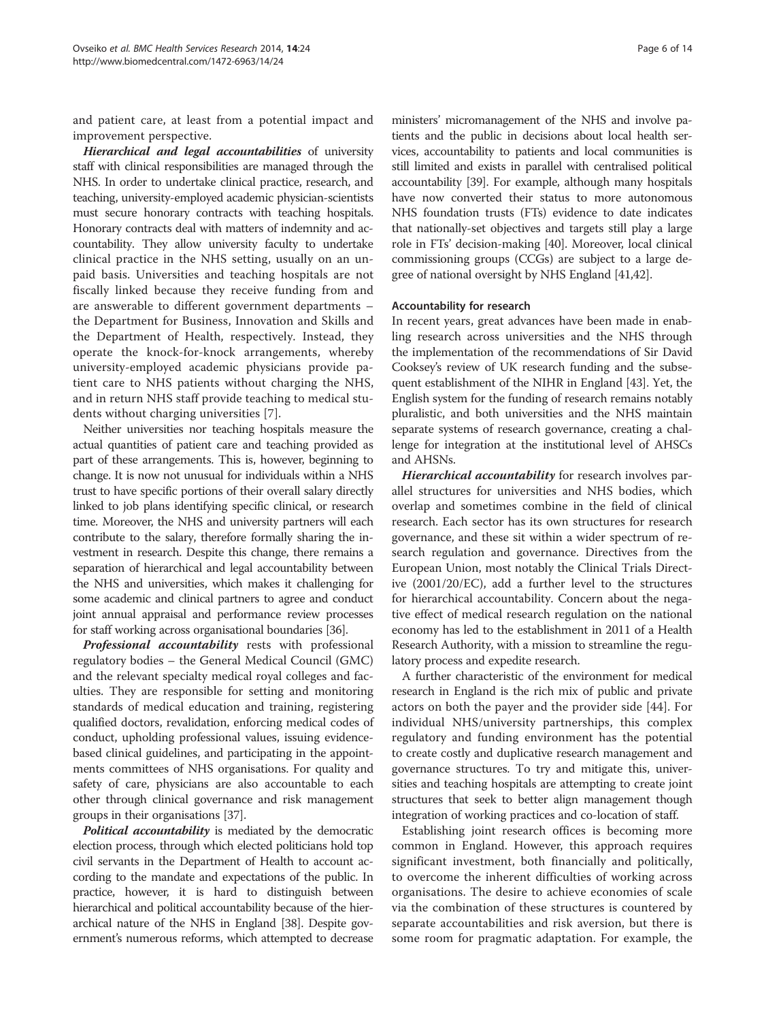and patient care, at least from a potential impact and improvement perspective.

Hierarchical and legal accountabilities of university staff with clinical responsibilities are managed through the NHS. In order to undertake clinical practice, research, and teaching, university-employed academic physician-scientists must secure honorary contracts with teaching hospitals. Honorary contracts deal with matters of indemnity and accountability. They allow university faculty to undertake clinical practice in the NHS setting, usually on an unpaid basis. Universities and teaching hospitals are not fiscally linked because they receive funding from and are answerable to different government departments – the Department for Business, Innovation and Skills and the Department of Health, respectively. Instead, they operate the knock-for-knock arrangements, whereby university-employed academic physicians provide patient care to NHS patients without charging the NHS, and in return NHS staff provide teaching to medical students without charging universities [\[7](#page-12-0)].

Neither universities nor teaching hospitals measure the actual quantities of patient care and teaching provided as part of these arrangements. This is, however, beginning to change. It is now not unusual for individuals within a NHS trust to have specific portions of their overall salary directly linked to job plans identifying specific clinical, or research time. Moreover, the NHS and university partners will each contribute to the salary, therefore formally sharing the investment in research. Despite this change, there remains a separation of hierarchical and legal accountability between the NHS and universities, which makes it challenging for some academic and clinical partners to agree and conduct joint annual appraisal and performance review processes for staff working across organisational boundaries [\[36\]](#page-12-0).

Professional accountability rests with professional regulatory bodies – the General Medical Council (GMC) and the relevant specialty medical royal colleges and faculties. They are responsible for setting and monitoring standards of medical education and training, registering qualified doctors, revalidation, enforcing medical codes of conduct, upholding professional values, issuing evidencebased clinical guidelines, and participating in the appointments committees of NHS organisations. For quality and safety of care, physicians are also accountable to each other through clinical governance and risk management groups in their organisations [[37](#page-12-0)].

Political accountability is mediated by the democratic election process, through which elected politicians hold top civil servants in the Department of Health to account according to the mandate and expectations of the public. In practice, however, it is hard to distinguish between hierarchical and political accountability because of the hierarchical nature of the NHS in England [[38](#page-12-0)]. Despite government's numerous reforms, which attempted to decrease

ministers' micromanagement of the NHS and involve patients and the public in decisions about local health services, accountability to patients and local communities is still limited and exists in parallel with centralised political accountability [[39](#page-12-0)]. For example, although many hospitals have now converted their status to more autonomous NHS foundation trusts (FTs) evidence to date indicates that nationally-set objectives and targets still play a large role in FTs' decision-making [[40](#page-12-0)]. Moreover, local clinical commissioning groups (CCGs) are subject to a large degree of national oversight by NHS England [\[41,42](#page-12-0)].

#### Accountability for research

In recent years, great advances have been made in enabling research across universities and the NHS through the implementation of the recommendations of Sir David Cooksey's review of UK research funding and the subsequent establishment of the NIHR in England [\[43\]](#page-12-0). Yet, the English system for the funding of research remains notably pluralistic, and both universities and the NHS maintain separate systems of research governance, creating a challenge for integration at the institutional level of AHSCs and AHSNs.

Hierarchical accountability for research involves parallel structures for universities and NHS bodies, which overlap and sometimes combine in the field of clinical research. Each sector has its own structures for research governance, and these sit within a wider spectrum of research regulation and governance. Directives from the European Union, most notably the Clinical Trials Directive (2001/20/EC), add a further level to the structures for hierarchical accountability. Concern about the negative effect of medical research regulation on the national economy has led to the establishment in 2011 of a Health Research Authority, with a mission to streamline the regulatory process and expedite research.

A further characteristic of the environment for medical research in England is the rich mix of public and private actors on both the payer and the provider side [[44\]](#page-12-0). For individual NHS/university partnerships, this complex regulatory and funding environment has the potential to create costly and duplicative research management and governance structures. To try and mitigate this, universities and teaching hospitals are attempting to create joint structures that seek to better align management though integration of working practices and co-location of staff.

Establishing joint research offices is becoming more common in England. However, this approach requires significant investment, both financially and politically, to overcome the inherent difficulties of working across organisations. The desire to achieve economies of scale via the combination of these structures is countered by separate accountabilities and risk aversion, but there is some room for pragmatic adaptation. For example, the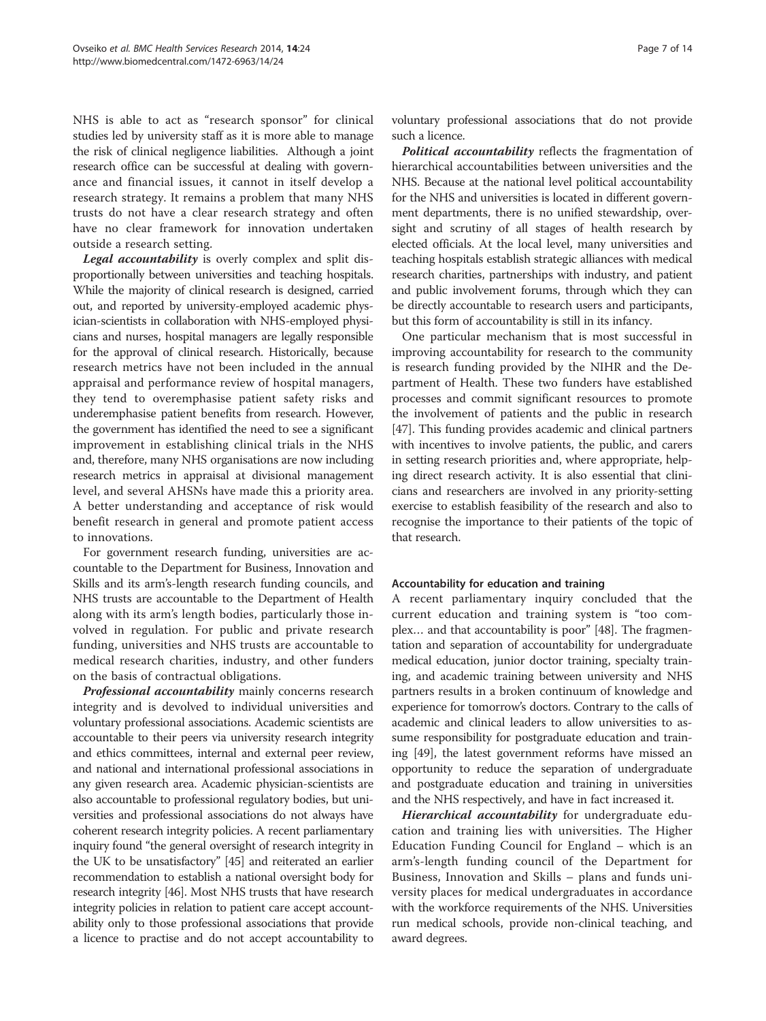NHS is able to act as "research sponsor" for clinical studies led by university staff as it is more able to manage the risk of clinical negligence liabilities. Although a joint research office can be successful at dealing with governance and financial issues, it cannot in itself develop a research strategy. It remains a problem that many NHS trusts do not have a clear research strategy and often have no clear framework for innovation undertaken outside a research setting.

Legal accountability is overly complex and split disproportionally between universities and teaching hospitals. While the majority of clinical research is designed, carried out, and reported by university-employed academic physician-scientists in collaboration with NHS-employed physicians and nurses, hospital managers are legally responsible for the approval of clinical research. Historically, because research metrics have not been included in the annual appraisal and performance review of hospital managers, they tend to overemphasise patient safety risks and underemphasise patient benefits from research. However, the government has identified the need to see a significant improvement in establishing clinical trials in the NHS and, therefore, many NHS organisations are now including research metrics in appraisal at divisional management level, and several AHSNs have made this a priority area. A better understanding and acceptance of risk would benefit research in general and promote patient access to innovations.

For government research funding, universities are accountable to the Department for Business, Innovation and Skills and its arm's-length research funding councils, and NHS trusts are accountable to the Department of Health along with its arm's length bodies, particularly those involved in regulation. For public and private research funding, universities and NHS trusts are accountable to medical research charities, industry, and other funders on the basis of contractual obligations.

Professional accountability mainly concerns research integrity and is devolved to individual universities and voluntary professional associations. Academic scientists are accountable to their peers via university research integrity and ethics committees, internal and external peer review, and national and international professional associations in any given research area. Academic physician-scientists are also accountable to professional regulatory bodies, but universities and professional associations do not always have coherent research integrity policies. A recent parliamentary inquiry found "the general oversight of research integrity in the UK to be unsatisfactory" [[45](#page-12-0)] and reiterated an earlier recommendation to establish a national oversight body for research integrity [[46](#page-13-0)]. Most NHS trusts that have research integrity policies in relation to patient care accept accountability only to those professional associations that provide a licence to practise and do not accept accountability to voluntary professional associations that do not provide such a licence.

Political accountability reflects the fragmentation of hierarchical accountabilities between universities and the NHS. Because at the national level political accountability for the NHS and universities is located in different government departments, there is no unified stewardship, oversight and scrutiny of all stages of health research by elected officials. At the local level, many universities and teaching hospitals establish strategic alliances with medical research charities, partnerships with industry, and patient and public involvement forums, through which they can be directly accountable to research users and participants, but this form of accountability is still in its infancy.

One particular mechanism that is most successful in improving accountability for research to the community is research funding provided by the NIHR and the Department of Health. These two funders have established processes and commit significant resources to promote the involvement of patients and the public in research [[47](#page-13-0)]. This funding provides academic and clinical partners with incentives to involve patients, the public, and carers in setting research priorities and, where appropriate, helping direct research activity. It is also essential that clinicians and researchers are involved in any priority-setting exercise to establish feasibility of the research and also to recognise the importance to their patients of the topic of that research.

#### Accountability for education and training

A recent parliamentary inquiry concluded that the current education and training system is "too complex… and that accountability is poor" [\[48\]](#page-13-0). The fragmentation and separation of accountability for undergraduate medical education, junior doctor training, specialty training, and academic training between university and NHS partners results in a broken continuum of knowledge and experience for tomorrow's doctors. Contrary to the calls of academic and clinical leaders to allow universities to assume responsibility for postgraduate education and training [[49](#page-13-0)], the latest government reforms have missed an opportunity to reduce the separation of undergraduate and postgraduate education and training in universities and the NHS respectively, and have in fact increased it.

Hierarchical accountability for undergraduate education and training lies with universities. The Higher Education Funding Council for England – which is an arm's-length funding council of the Department for Business, Innovation and Skills – plans and funds university places for medical undergraduates in accordance with the workforce requirements of the NHS. Universities run medical schools, provide non-clinical teaching, and award degrees.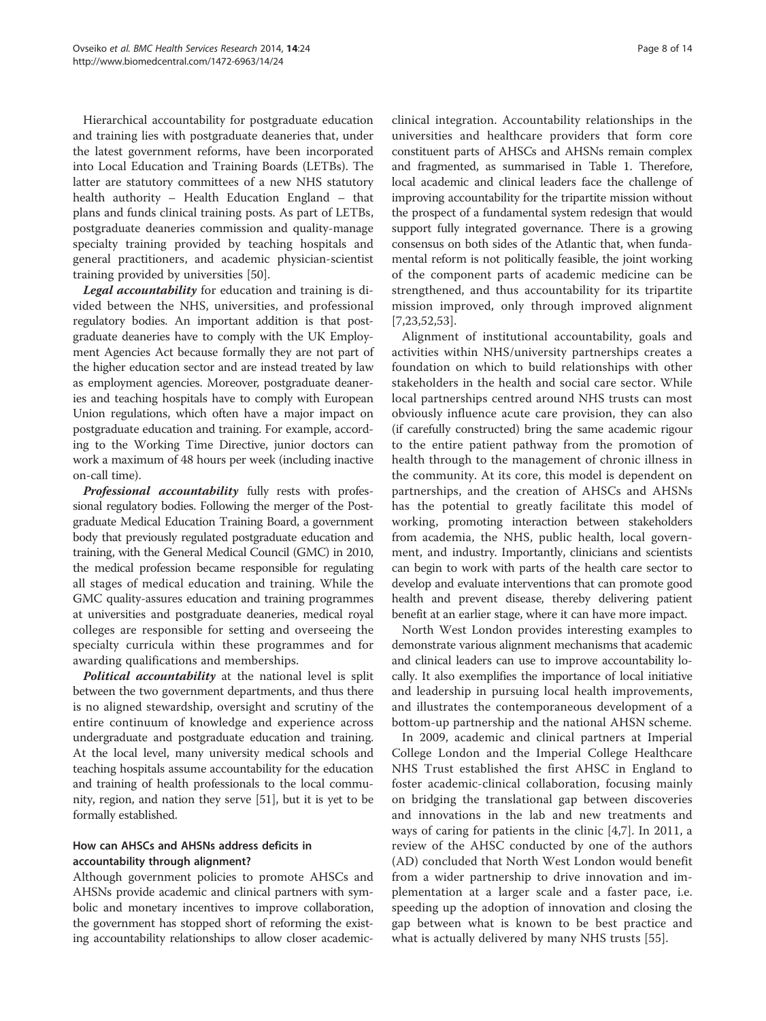Hierarchical accountability for postgraduate education and training lies with postgraduate deaneries that, under the latest government reforms, have been incorporated into Local Education and Training Boards (LETBs). The latter are statutory committees of a new NHS statutory health authority – Health Education England – that plans and funds clinical training posts. As part of LETBs, postgraduate deaneries commission and quality-manage specialty training provided by teaching hospitals and general practitioners, and academic physician-scientist training provided by universities [\[50\]](#page-13-0).

Legal accountability for education and training is divided between the NHS, universities, and professional regulatory bodies. An important addition is that postgraduate deaneries have to comply with the UK Employment Agencies Act because formally they are not part of the higher education sector and are instead treated by law as employment agencies. Moreover, postgraduate deaneries and teaching hospitals have to comply with European Union regulations, which often have a major impact on postgraduate education and training. For example, according to the Working Time Directive, junior doctors can work a maximum of 48 hours per week (including inactive on-call time).

Professional accountability fully rests with professional regulatory bodies. Following the merger of the Postgraduate Medical Education Training Board, a government body that previously regulated postgraduate education and training, with the General Medical Council (GMC) in 2010, the medical profession became responsible for regulating all stages of medical education and training. While the GMC quality-assures education and training programmes at universities and postgraduate deaneries, medical royal colleges are responsible for setting and overseeing the specialty curricula within these programmes and for awarding qualifications and memberships.

**Political accountability** at the national level is split between the two government departments, and thus there is no aligned stewardship, oversight and scrutiny of the entire continuum of knowledge and experience across undergraduate and postgraduate education and training. At the local level, many university medical schools and teaching hospitals assume accountability for the education and training of health professionals to the local community, region, and nation they serve [[51](#page-13-0)], but it is yet to be formally established.

# How can AHSCs and AHSNs address deficits in accountability through alignment?

Although government policies to promote AHSCs and AHSNs provide academic and clinical partners with symbolic and monetary incentives to improve collaboration, the government has stopped short of reforming the existing accountability relationships to allow closer academic-

clinical integration. Accountability relationships in the universities and healthcare providers that form core constituent parts of AHSCs and AHSNs remain complex and fragmented, as summarised in Table [1.](#page-8-0) Therefore, local academic and clinical leaders face the challenge of improving accountability for the tripartite mission without the prospect of a fundamental system redesign that would support fully integrated governance. There is a growing consensus on both sides of the Atlantic that, when fundamental reform is not politically feasible, the joint working of the component parts of academic medicine can be strengthened, and thus accountability for its tripartite mission improved, only through improved alignment [[7,23](#page-12-0),[52,53\]](#page-13-0).

Alignment of institutional accountability, goals and activities within NHS/university partnerships creates a foundation on which to build relationships with other stakeholders in the health and social care sector. While local partnerships centred around NHS trusts can most obviously influence acute care provision, they can also (if carefully constructed) bring the same academic rigour to the entire patient pathway from the promotion of health through to the management of chronic illness in the community. At its core, this model is dependent on partnerships, and the creation of AHSCs and AHSNs has the potential to greatly facilitate this model of working, promoting interaction between stakeholders from academia, the NHS, public health, local government, and industry. Importantly, clinicians and scientists can begin to work with parts of the health care sector to develop and evaluate interventions that can promote good health and prevent disease, thereby delivering patient benefit at an earlier stage, where it can have more impact.

North West London provides interesting examples to demonstrate various alignment mechanisms that academic and clinical leaders can use to improve accountability locally. It also exemplifies the importance of local initiative and leadership in pursuing local health improvements, and illustrates the contemporaneous development of a bottom-up partnership and the national AHSN scheme.

In 2009, academic and clinical partners at Imperial College London and the Imperial College Healthcare NHS Trust established the first AHSC in England to foster academic-clinical collaboration, focusing mainly on bridging the translational gap between discoveries and innovations in the lab and new treatments and ways of caring for patients in the clinic [[4,7\]](#page-12-0). In 2011, a review of the AHSC conducted by one of the authors (AD) concluded that North West London would benefit from a wider partnership to drive innovation and implementation at a larger scale and a faster pace, i.e. speeding up the adoption of innovation and closing the gap between what is known to be best practice and what is actually delivered by many NHS trusts [\[55](#page-13-0)].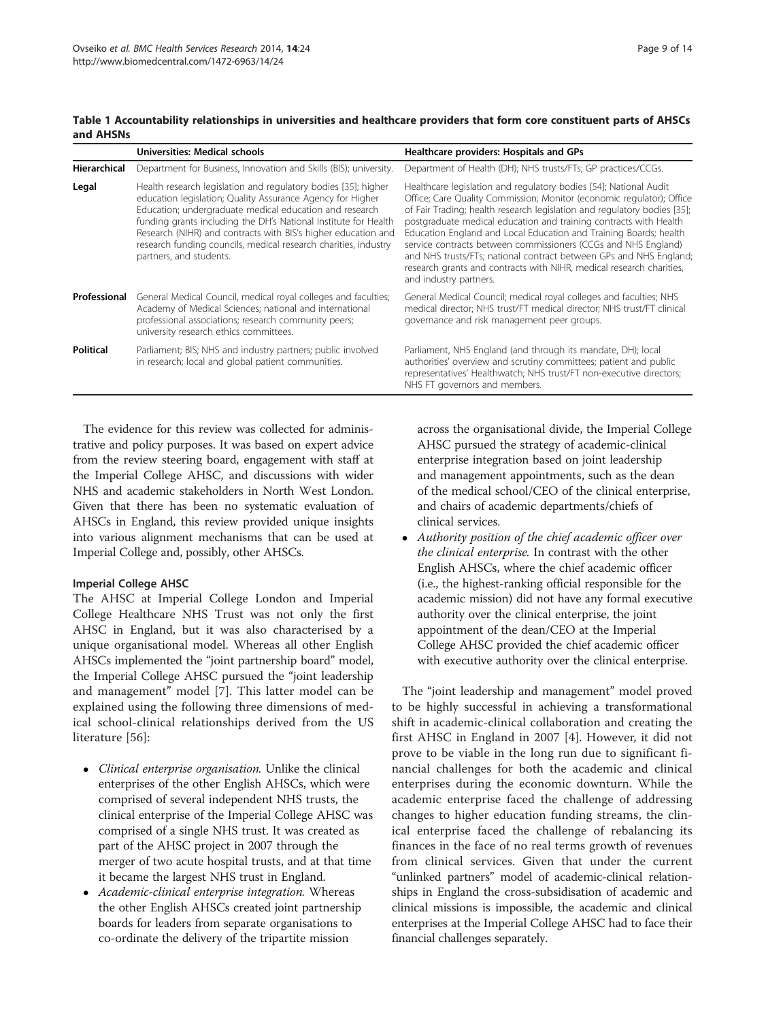<span id="page-8-0"></span>

|           | Table 1 Accountability relationships in universities and healthcare providers that form core constituent parts of AHSCs |  |  |  |
|-----------|-------------------------------------------------------------------------------------------------------------------------|--|--|--|
| and AHSNs |                                                                                                                         |  |  |  |

|                  | Universities: Medical schools                                                                                                                                                                                                                                                                                                                                                                                             | Healthcare providers: Hospitals and GPs                                                                                                                                                                                                                                                                                                                                                                                                                                                                                                                                                                    |  |
|------------------|---------------------------------------------------------------------------------------------------------------------------------------------------------------------------------------------------------------------------------------------------------------------------------------------------------------------------------------------------------------------------------------------------------------------------|------------------------------------------------------------------------------------------------------------------------------------------------------------------------------------------------------------------------------------------------------------------------------------------------------------------------------------------------------------------------------------------------------------------------------------------------------------------------------------------------------------------------------------------------------------------------------------------------------------|--|
| Hierarchical     | Department for Business, Innovation and Skills (BIS); university.                                                                                                                                                                                                                                                                                                                                                         | Department of Health (DH); NHS trusts/FTs; GP practices/CCGs.                                                                                                                                                                                                                                                                                                                                                                                                                                                                                                                                              |  |
| Legal            | Health research legislation and regulatory bodies [35]; higher<br>education legislation; Quality Assurance Agency for Higher<br>Education; undergraduate medical education and research<br>funding grants including the DH's National Institute for Health<br>Research (NIHR) and contracts with BIS's higher education and<br>research funding councils, medical research charities, industry<br>partners, and students. | Healthcare legislation and regulatory bodies [54]; National Audit<br>Office; Care Quality Commission; Monitor (economic regulator); Office<br>of Fair Trading; health research legislation and regulatory bodies [35];<br>postgraduate medical education and training contracts with Health<br>Education England and Local Education and Training Boards; health<br>service contracts between commissioners (CCGs and NHS England)<br>and NHS trusts/FTs; national contract between GPs and NHS England;<br>research grants and contracts with NIHR, medical research charities,<br>and industry partners. |  |
| Professional     | General Medical Council, medical royal colleges and faculties;<br>Academy of Medical Sciences; national and international<br>professional associations; research community peers;<br>university research ethics committees.                                                                                                                                                                                               | General Medical Council; medical royal colleges and faculties; NHS<br>medical director; NHS trust/FT medical director; NHS trust/FT clinical<br>governance and risk management peer groups.                                                                                                                                                                                                                                                                                                                                                                                                                |  |
| <b>Political</b> | Parliament; BIS; NHS and industry partners; public involved<br>in research; local and global patient communities.                                                                                                                                                                                                                                                                                                         | Parliament, NHS England (and through its mandate, DH); local<br>authorities' overview and scrutiny committees; patient and public<br>representatives' Healthwatch; NHS trust/FT non-executive directors;<br>NHS FT governors and members.                                                                                                                                                                                                                                                                                                                                                                  |  |

The evidence for this review was collected for administrative and policy purposes. It was based on expert advice from the review steering board, engagement with staff at the Imperial College AHSC, and discussions with wider NHS and academic stakeholders in North West London. Given that there has been no systematic evaluation of AHSCs in England, this review provided unique insights into various alignment mechanisms that can be used at Imperial College and, possibly, other AHSCs.

# Imperial College AHSC

The AHSC at Imperial College London and Imperial College Healthcare NHS Trust was not only the first AHSC in England, but it was also characterised by a unique organisational model. Whereas all other English AHSCs implemented the "joint partnership board" model, the Imperial College AHSC pursued the "joint leadership and management" model [\[7](#page-12-0)]. This latter model can be explained using the following three dimensions of medical school-clinical relationships derived from the US literature [\[56](#page-13-0)]:

- *Clinical enterprise organisation*. Unlike the clinical enterprises of the other English AHSCs, which were comprised of several independent NHS trusts, the clinical enterprise of the Imperial College AHSC was comprised of a single NHS trust. It was created as part of the AHSC project in 2007 through the merger of two acute hospital trusts, and at that time it became the largest NHS trust in England.
- Academic-clinical enterprise integration. Whereas the other English AHSCs created joint partnership boards for leaders from separate organisations to co-ordinate the delivery of the tripartite mission

across the organisational divide, the Imperial College AHSC pursued the strategy of academic-clinical enterprise integration based on joint leadership and management appointments, such as the dean of the medical school/CEO of the clinical enterprise, and chairs of academic departments/chiefs of clinical services.

 Authority position of the chief academic officer over the clinical enterprise. In contrast with the other English AHSCs, where the chief academic officer (i.e., the highest-ranking official responsible for the academic mission) did not have any formal executive authority over the clinical enterprise, the joint appointment of the dean/CEO at the Imperial College AHSC provided the chief academic officer with executive authority over the clinical enterprise.

The "joint leadership and management" model proved to be highly successful in achieving a transformational shift in academic-clinical collaboration and creating the first AHSC in England in 2007 [\[4](#page-12-0)]. However, it did not prove to be viable in the long run due to significant financial challenges for both the academic and clinical enterprises during the economic downturn. While the academic enterprise faced the challenge of addressing changes to higher education funding streams, the clinical enterprise faced the challenge of rebalancing its finances in the face of no real terms growth of revenues from clinical services. Given that under the current "unlinked partners" model of academic-clinical relationships in England the cross-subsidisation of academic and clinical missions is impossible, the academic and clinical enterprises at the Imperial College AHSC had to face their financial challenges separately.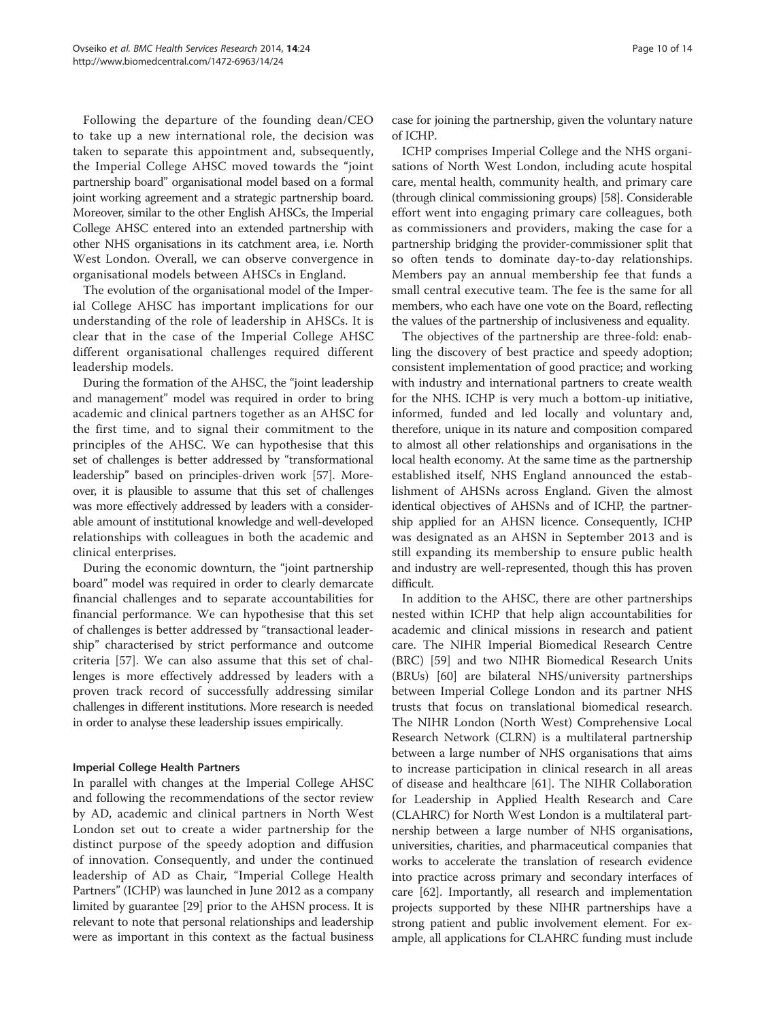Following the departure of the founding dean/CEO to take up a new international role, the decision was taken to separate this appointment and, subsequently, the Imperial College AHSC moved towards the "joint partnership board" organisational model based on a formal joint working agreement and a strategic partnership board. Moreover, similar to the other English AHSCs, the Imperial College AHSC entered into an extended partnership with other NHS organisations in its catchment area, i.e. North West London. Overall, we can observe convergence in organisational models between AHSCs in England.

The evolution of the organisational model of the Imperial College AHSC has important implications for our understanding of the role of leadership in AHSCs. It is clear that in the case of the Imperial College AHSC different organisational challenges required different leadership models.

During the formation of the AHSC, the "joint leadership and management" model was required in order to bring academic and clinical partners together as an AHSC for the first time, and to signal their commitment to the principles of the AHSC. We can hypothesise that this set of challenges is better addressed by "transformational leadership" based on principles-driven work [\[57\]](#page-13-0). Moreover, it is plausible to assume that this set of challenges was more effectively addressed by leaders with a considerable amount of institutional knowledge and well-developed relationships with colleagues in both the academic and clinical enterprises.

During the economic downturn, the "joint partnership board" model was required in order to clearly demarcate financial challenges and to separate accountabilities for financial performance. We can hypothesise that this set of challenges is better addressed by "transactional leadership" characterised by strict performance and outcome criteria [[57\]](#page-13-0). We can also assume that this set of challenges is more effectively addressed by leaders with a proven track record of successfully addressing similar challenges in different institutions. More research is needed in order to analyse these leadership issues empirically.

#### Imperial College Health Partners

In parallel with changes at the Imperial College AHSC and following the recommendations of the sector review by AD, academic and clinical partners in North West London set out to create a wider partnership for the distinct purpose of the speedy adoption and diffusion of innovation. Consequently, and under the continued leadership of AD as Chair, "Imperial College Health Partners" (ICHP) was launched in June 2012 as a company limited by guarantee [\[29\]](#page-12-0) prior to the AHSN process. It is relevant to note that personal relationships and leadership were as important in this context as the factual business case for joining the partnership, given the voluntary nature of ICHP.

ICHP comprises Imperial College and the NHS organisations of North West London, including acute hospital care, mental health, community health, and primary care (through clinical commissioning groups) [\[58\]](#page-13-0). Considerable effort went into engaging primary care colleagues, both as commissioners and providers, making the case for a partnership bridging the provider-commissioner split that so often tends to dominate day-to-day relationships. Members pay an annual membership fee that funds a small central executive team. The fee is the same for all members, who each have one vote on the Board, reflecting the values of the partnership of inclusiveness and equality.

The objectives of the partnership are three-fold: enabling the discovery of best practice and speedy adoption; consistent implementation of good practice; and working with industry and international partners to create wealth for the NHS. ICHP is very much a bottom-up initiative, informed, funded and led locally and voluntary and, therefore, unique in its nature and composition compared to almost all other relationships and organisations in the local health economy. At the same time as the partnership established itself, NHS England announced the establishment of AHSNs across England. Given the almost identical objectives of AHSNs and of ICHP, the partnership applied for an AHSN licence. Consequently, ICHP was designated as an AHSN in September 2013 and is still expanding its membership to ensure public health and industry are well-represented, though this has proven difficult.

In addition to the AHSC, there are other partnerships nested within ICHP that help align accountabilities for academic and clinical missions in research and patient care. The NIHR Imperial Biomedical Research Centre (BRC) [[59\]](#page-13-0) and two NIHR Biomedical Research Units (BRUs) [[60\]](#page-13-0) are bilateral NHS/university partnerships between Imperial College London and its partner NHS trusts that focus on translational biomedical research. The NIHR London (North West) Comprehensive Local Research Network (CLRN) is a multilateral partnership between a large number of NHS organisations that aims to increase participation in clinical research in all areas of disease and healthcare [\[61\]](#page-13-0). The NIHR Collaboration for Leadership in Applied Health Research and Care (CLAHRC) for North West London is a multilateral partnership between a large number of NHS organisations, universities, charities, and pharmaceutical companies that works to accelerate the translation of research evidence into practice across primary and secondary interfaces of care [\[62\]](#page-13-0). Importantly, all research and implementation projects supported by these NIHR partnerships have a strong patient and public involvement element. For example, all applications for CLAHRC funding must include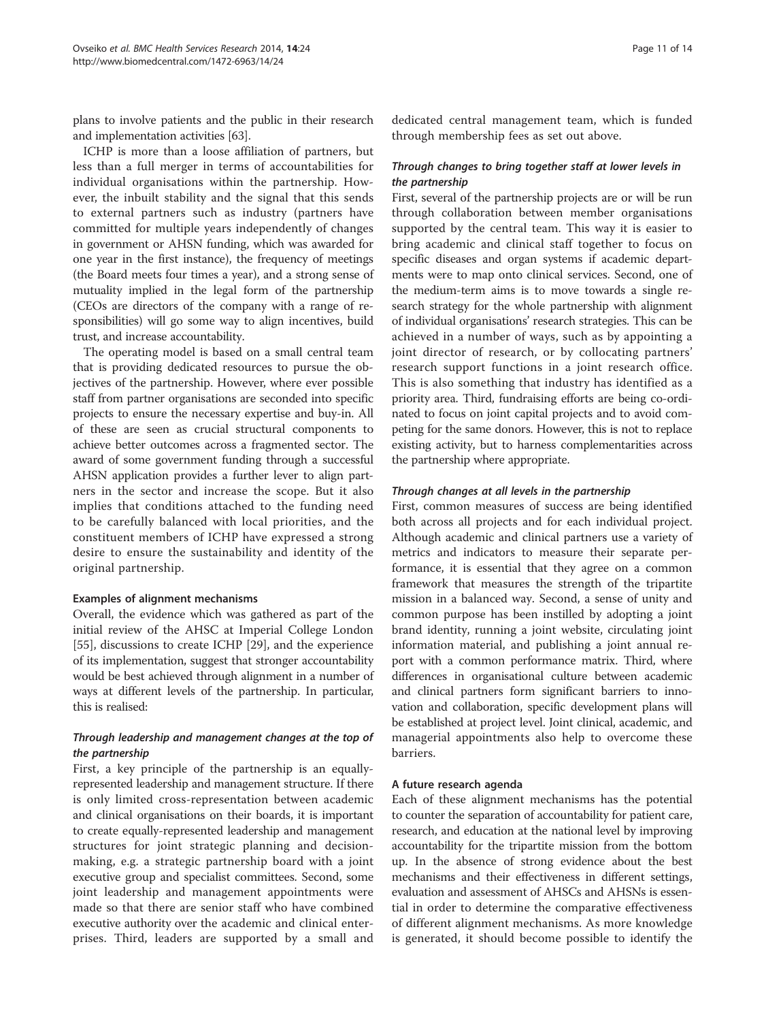plans to involve patients and the public in their research and implementation activities [\[63\]](#page-13-0).

ICHP is more than a loose affiliation of partners, but less than a full merger in terms of accountabilities for individual organisations within the partnership. However, the inbuilt stability and the signal that this sends to external partners such as industry (partners have committed for multiple years independently of changes in government or AHSN funding, which was awarded for one year in the first instance), the frequency of meetings (the Board meets four times a year), and a strong sense of mutuality implied in the legal form of the partnership (CEOs are directors of the company with a range of responsibilities) will go some way to align incentives, build trust, and increase accountability.

The operating model is based on a small central team that is providing dedicated resources to pursue the objectives of the partnership. However, where ever possible staff from partner organisations are seconded into specific projects to ensure the necessary expertise and buy-in. All of these are seen as crucial structural components to achieve better outcomes across a fragmented sector. The award of some government funding through a successful AHSN application provides a further lever to align partners in the sector and increase the scope. But it also implies that conditions attached to the funding need to be carefully balanced with local priorities, and the constituent members of ICHP have expressed a strong desire to ensure the sustainability and identity of the original partnership.

#### Examples of alignment mechanisms

Overall, the evidence which was gathered as part of the initial review of the AHSC at Imperial College London [[55\]](#page-13-0), discussions to create ICHP [[29\]](#page-12-0), and the experience of its implementation, suggest that stronger accountability would be best achieved through alignment in a number of ways at different levels of the partnership. In particular, this is realised:

# Through leadership and management changes at the top of the partnership

First, a key principle of the partnership is an equallyrepresented leadership and management structure. If there is only limited cross-representation between academic and clinical organisations on their boards, it is important to create equally-represented leadership and management structures for joint strategic planning and decisionmaking, e.g. a strategic partnership board with a joint executive group and specialist committees. Second, some joint leadership and management appointments were made so that there are senior staff who have combined executive authority over the academic and clinical enterprises. Third, leaders are supported by a small and dedicated central management team, which is funded through membership fees as set out above.

# Through changes to bring together staff at lower levels in the partnership

First, several of the partnership projects are or will be run through collaboration between member organisations supported by the central team. This way it is easier to bring academic and clinical staff together to focus on specific diseases and organ systems if academic departments were to map onto clinical services. Second, one of the medium-term aims is to move towards a single research strategy for the whole partnership with alignment of individual organisations' research strategies. This can be achieved in a number of ways, such as by appointing a joint director of research, or by collocating partners' research support functions in a joint research office. This is also something that industry has identified as a priority area. Third, fundraising efforts are being co-ordinated to focus on joint capital projects and to avoid competing for the same donors. However, this is not to replace existing activity, but to harness complementarities across the partnership where appropriate.

### Through changes at all levels in the partnership

First, common measures of success are being identified both across all projects and for each individual project. Although academic and clinical partners use a variety of metrics and indicators to measure their separate performance, it is essential that they agree on a common framework that measures the strength of the tripartite mission in a balanced way. Second, a sense of unity and common purpose has been instilled by adopting a joint brand identity, running a joint website, circulating joint information material, and publishing a joint annual report with a common performance matrix. Third, where differences in organisational culture between academic and clinical partners form significant barriers to innovation and collaboration, specific development plans will be established at project level. Joint clinical, academic, and managerial appointments also help to overcome these barriers.

#### A future research agenda

Each of these alignment mechanisms has the potential to counter the separation of accountability for patient care, research, and education at the national level by improving accountability for the tripartite mission from the bottom up. In the absence of strong evidence about the best mechanisms and their effectiveness in different settings, evaluation and assessment of AHSCs and AHSNs is essential in order to determine the comparative effectiveness of different alignment mechanisms. As more knowledge is generated, it should become possible to identify the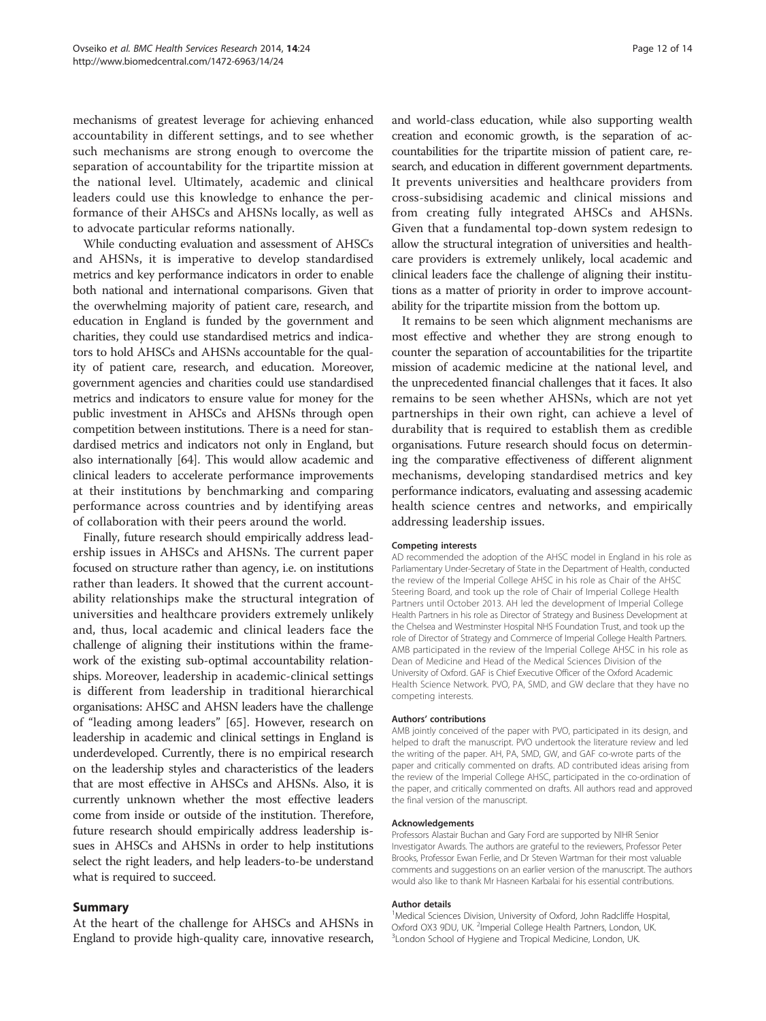mechanisms of greatest leverage for achieving enhanced accountability in different settings, and to see whether such mechanisms are strong enough to overcome the separation of accountability for the tripartite mission at the national level. Ultimately, academic and clinical leaders could use this knowledge to enhance the performance of their AHSCs and AHSNs locally, as well as to advocate particular reforms nationally.

While conducting evaluation and assessment of AHSCs and AHSNs, it is imperative to develop standardised metrics and key performance indicators in order to enable both national and international comparisons. Given that the overwhelming majority of patient care, research, and education in England is funded by the government and charities, they could use standardised metrics and indicators to hold AHSCs and AHSNs accountable for the quality of patient care, research, and education. Moreover, government agencies and charities could use standardised metrics and indicators to ensure value for money for the public investment in AHSCs and AHSNs through open competition between institutions. There is a need for standardised metrics and indicators not only in England, but also internationally [[64](#page-13-0)]. This would allow academic and clinical leaders to accelerate performance improvements at their institutions by benchmarking and comparing performance across countries and by identifying areas of collaboration with their peers around the world.

Finally, future research should empirically address leadership issues in AHSCs and AHSNs. The current paper focused on structure rather than agency, i.e. on institutions rather than leaders. It showed that the current accountability relationships make the structural integration of universities and healthcare providers extremely unlikely and, thus, local academic and clinical leaders face the challenge of aligning their institutions within the framework of the existing sub-optimal accountability relationships. Moreover, leadership in academic-clinical settings is different from leadership in traditional hierarchical organisations: AHSC and AHSN leaders have the challenge of "leading among leaders" [[65\]](#page-13-0). However, research on leadership in academic and clinical settings in England is underdeveloped. Currently, there is no empirical research on the leadership styles and characteristics of the leaders that are most effective in AHSCs and AHSNs. Also, it is currently unknown whether the most effective leaders come from inside or outside of the institution. Therefore, future research should empirically address leadership issues in AHSCs and AHSNs in order to help institutions select the right leaders, and help leaders-to-be understand what is required to succeed.

#### Summary

At the heart of the challenge for AHSCs and AHSNs in England to provide high-quality care, innovative research, and world-class education, while also supporting wealth creation and economic growth, is the separation of accountabilities for the tripartite mission of patient care, research, and education in different government departments. It prevents universities and healthcare providers from cross-subsidising academic and clinical missions and from creating fully integrated AHSCs and AHSNs. Given that a fundamental top-down system redesign to allow the structural integration of universities and healthcare providers is extremely unlikely, local academic and clinical leaders face the challenge of aligning their institutions as a matter of priority in order to improve accountability for the tripartite mission from the bottom up.

It remains to be seen which alignment mechanisms are most effective and whether they are strong enough to counter the separation of accountabilities for the tripartite mission of academic medicine at the national level, and the unprecedented financial challenges that it faces. It also remains to be seen whether AHSNs, which are not yet partnerships in their own right, can achieve a level of durability that is required to establish them as credible organisations. Future research should focus on determining the comparative effectiveness of different alignment mechanisms, developing standardised metrics and key performance indicators, evaluating and assessing academic health science centres and networks, and empirically addressing leadership issues.

#### Competing interests

AD recommended the adoption of the AHSC model in England in his role as Parliamentary Under-Secretary of State in the Department of Health, conducted the review of the Imperial College AHSC in his role as Chair of the AHSC Steering Board, and took up the role of Chair of Imperial College Health Partners until October 2013. AH led the development of Imperial College Health Partners in his role as Director of Strategy and Business Development at the Chelsea and Westminster Hospital NHS Foundation Trust, and took up the role of Director of Strategy and Commerce of Imperial College Health Partners. AMB participated in the review of the Imperial College AHSC in his role as Dean of Medicine and Head of the Medical Sciences Division of the University of Oxford. GAF is Chief Executive Officer of the Oxford Academic Health Science Network. PVO, PA, SMD, and GW declare that they have no competing interests.

#### Authors' contributions

AMB jointly conceived of the paper with PVO, participated in its design, and helped to draft the manuscript. PVO undertook the literature review and led the writing of the paper. AH, PA, SMD, GW, and GAF co-wrote parts of the paper and critically commented on drafts. AD contributed ideas arising from the review of the Imperial College AHSC, participated in the co-ordination of the paper, and critically commented on drafts. All authors read and approved the final version of the manuscript.

#### Acknowledgements

Professors Alastair Buchan and Gary Ford are supported by NIHR Senior Investigator Awards. The authors are grateful to the reviewers, Professor Peter Brooks, Professor Ewan Ferlie, and Dr Steven Wartman for their most valuable comments and suggestions on an earlier version of the manuscript. The authors would also like to thank Mr Hasneen Karbalai for his essential contributions.

#### Author details

<sup>1</sup>Medical Sciences Division, University of Oxford, John Radcliffe Hospital Oxford OX3 9DU, UK. <sup>2</sup>Imperial College Health Partners, London, UK.<br><sup>3</sup>London, School of Hygiano, and Tropical Medicina, London, UK.  $3$ London School of Hygiene and Tropical Medicine, London, UK.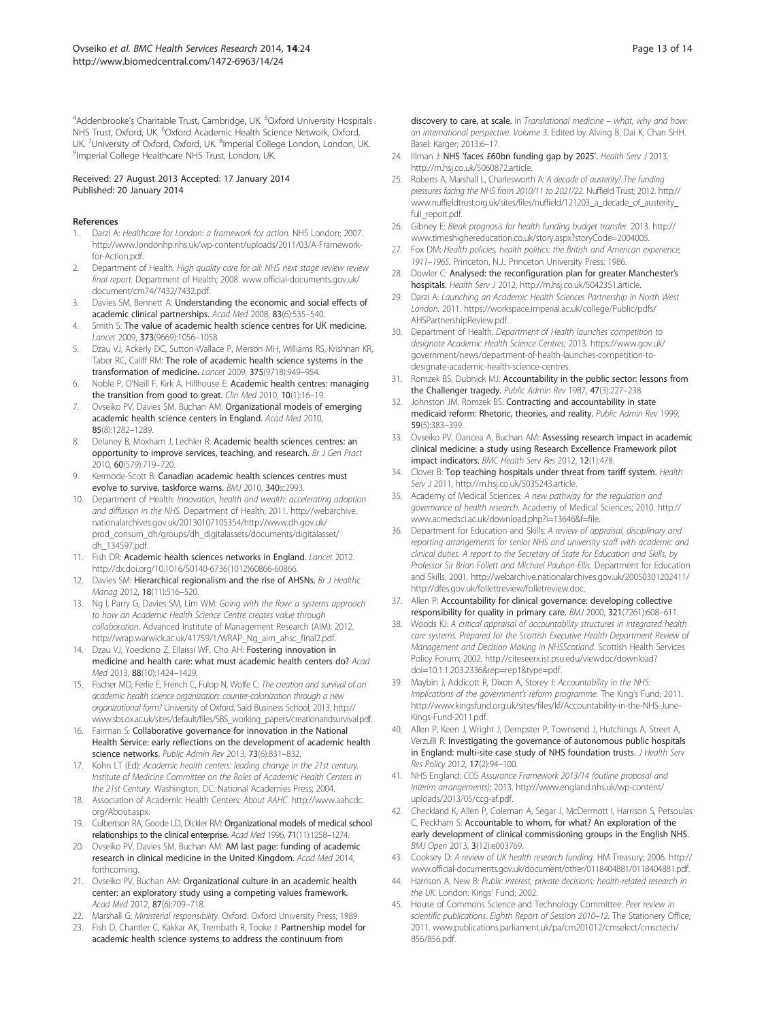<span id="page-12-0"></span><sup>4</sup>Addenbrooke's Charitable Trust, Cambridge, UK. <sup>5</sup>Oxford University Hospitals NHS Trust, Oxford, UK. <sup>6</sup>Oxford Academic Health Science Network, Oxford, UK. <sup>7</sup>University of Oxford, Oxford, UK. <sup>8</sup>Imperial College London, London, UK.<br><sup>9</sup>Imperial College Healthcare NHS Trust London, UK <sup>9</sup>Imperial College Healthcare NHS Trust, London, UK.

#### Received: 27 August 2013 Accepted: 17 January 2014 Published: 20 January 2014

#### References

- 1. Darzi A: Healthcare for London: a framework for action. NHS London; 2007. [http://www.londonhp.nhs.uk/wp-content/uploads/2011/03/A-Framework](http://www.londonhp.nhs.uk/wp-content/uploads/2011/03/A-Framework-for-Action.pdf)[for-Action.pdf.](http://www.londonhp.nhs.uk/wp-content/uploads/2011/03/A-Framework-for-Action.pdf)
- 2. Department of Health: High quality care for all: NHS next stage review review final report. Department of Health; 2008. [www.official-documents.gov.uk/](http://www.official-documents.gov.uk/document/cm74/7432/7432.pdf) [document/cm74/7432/7432.pdf](http://www.official-documents.gov.uk/document/cm74/7432/7432.pdf).
- 3. Davies SM, Bennett A: Understanding the economic and social effects of academic clinical partnerships. Acad Med 2008, 83(6):535–540.
- 4. Smith S: The value of academic health science centres for UK medicine. Lancet 2009, 373(9669):1056–1058.
- 5. Dzau VJ, Ackerly DC, Sutton-Wallace P, Merson MH, Williams RS, Krishnan KR, Taber RC, Califf RM: The role of academic health science systems in the transformation of medicine. *Lancet* 2009, 375(9718):949-954.
- 6. Noble P, O'Neill F, Kirk A, Hillhouse E: Academic health centres: managing the transition from good to great. Clin Med 2010, 10(1):16-19.
- 7. Ovseiko PV, Davies SM, Buchan AM: Organizational models of emerging academic health science centers in England. Acad Med 2010, 85(8):1282–1289.
- 8. Delaney B, Moxham J, Lechler R: Academic health sciences centres: an opportunity to improve services, teaching, and research. Br J Gen Pract 2010, 60(579):719–720.
- 9. Kermode-Scott B: Canadian academic health sciences centres must evolve to survive, taskforce warns. BMJ 2010, 340:c2993.
- 10. Department of Health: Innovation, health and wealth: accelerating adoption and diffusion in the NHS. Department of Health; 2011. [http://webarchive.](http://webarchive.nationalarchives.gov.uk/20130107105354/http://www.dh.gov.uk/prod_consum_dh/groups/dh_digitalassets/documents/digitalasset/dh_134597.pdf) [nationalarchives.gov.uk/20130107105354/http://www.dh.gov.uk/](http://webarchive.nationalarchives.gov.uk/20130107105354/http://www.dh.gov.uk/prod_consum_dh/groups/dh_digitalassets/documents/digitalasset/dh_134597.pdf) [prod\\_consum\\_dh/groups/dh\\_digitalassets/documents/digitalasset/](http://webarchive.nationalarchives.gov.uk/20130107105354/http://www.dh.gov.uk/prod_consum_dh/groups/dh_digitalassets/documents/digitalasset/dh_134597.pdf) [dh\\_134597.pdf](http://webarchive.nationalarchives.gov.uk/20130107105354/http://www.dh.gov.uk/prod_consum_dh/groups/dh_digitalassets/documents/digitalasset/dh_134597.pdf).
- 11. Fish DR: Academic health sciences networks in England. Lancet 2012. [http://dx.doi.org/10.1016/S0140-6736\(1012\)60866-60866.](http://dx.doi.org/10.1016/S0140-6736(1012)60866-60866)
- 12. Davies SM: Hierarchical regionalism and the rise of AHSNs. Br J Healthc Manag 2012, 18(11):516–520.
- 13. Ng I, Parry G, Davies SM, Lim WM: Going with the flow: a systems approach to how an Academic Health Science Centre creates value through collaboration. Advanced Institute of Management Research (AIM); 2012. [http://wrap.warwick.ac.uk/41759/1/WRAP\\_Ng\\_aim\\_ahsc\\_final2.pdf](http://wrap.warwick.ac.uk/41759/1/WRAP_Ng_aim_ahsc_final2.pdf).
- 14. Dzau VJ, Yoediono Z, Ellaissi WF, Cho AH: Fostering innovation in medicine and health care: what must academic health centers do? Acad Med 2013, 88(10):1424–1429.
- 15. Fischer MD, Ferlie E, French C, Fulop N, Wolfe C: The creation and survival of an academic health science organization: counter-colonization through a new organizational form? University of Oxford, Saïd Business School; 2013. [http://](http://www.sbs.ox.ac.uk/sites/default/files/SBS_working_papers/creationandsurvival.pdf) [www.sbs.ox.ac.uk/sites/default/files/SBS\\_working\\_papers/creationandsurvival.pdf.](http://www.sbs.ox.ac.uk/sites/default/files/SBS_working_papers/creationandsurvival.pdf)
- 16. Fairman S: Collaborative governance for innovation in the National Health Service: early reflections on the development of academic health science networks. Public Admin Rev 2013, 73(6):831–832.
- 17. Kohn LT (Ed): Academic health centers: leading change in the 21st century. Institute of Medicine Committee on the Roles of Academic Health Centers in the 21st Century. Washington, DC: National Academies Press; 2004.
- 18. Association of Academic Health Centers: About AAHC. [http://www.aahcdc.](http://www.aahcdc.org/About.aspx) [org/About.aspx](http://www.aahcdc.org/About.aspx).
- 19. Culbertson RA, Goode LD, Dickler RM: Organizational models of medical school relationships to the clinical enterprise. Acad Med 1996, 71(11):1258–1274.
- 20. Ovseiko PV, Davies SM, Buchan AM: AM last page: funding of academic research in clinical medicine in the United Kingdom. Acad Med 2014, forthcoming.
- 21. Ovseiko PV, Buchan AM: Organizational culture in an academic health center: an exploratory study using a competing values framework. Acad Med 2012, 87(6):709–718.
- 22. Marshall G: Ministerial responsibility. Oxford: Oxford University Press; 1989.
- 23. Fish D, Chantler C, Kakkar AK, Trembath R, Tooke J: Partnership model for academic health science systems to address the continuum from

discovery to care, at scale. In Translational medicine – what, why and how: an international perspective. Volume 3. Edited by Alving B, Dai K, Chan SHH. Basel: Karger; 2013:6–17.

- 24. Illman J: NHS 'faces £60bn funding gap by 2025'. Health Serv J 2013. [http://m.hsj.co.uk/5060872.article.](http://m.hsj.co.uk/5060872.article)
- 25. Roberts A, Marshall L, Charlesworth A: A decade of austerity? The funding pressures facing the NHS from 2010/11 to 2021/22. Nuffield Trust; 2012. [http://](http://www.nuffieldtrust.org.uk/sites/files/nuffield/121203_a_decade_of_austerity_full_report.pdf) [www.nuffieldtrust.org.uk/sites/files/nuffield/121203\\_a\\_decade\\_of\\_austerity\\_](http://www.nuffieldtrust.org.uk/sites/files/nuffield/121203_a_decade_of_austerity_full_report.pdf) [full\\_report.pdf](http://www.nuffieldtrust.org.uk/sites/files/nuffield/121203_a_decade_of_austerity_full_report.pdf).
- 26. Gibney E: Bleak prognosis for health funding budget transfer. 2013. [http://](http://www.timeshighereducation.co.uk/story.aspx?storyCode=2004005) [www.timeshighereducation.co.uk/story.aspx?storyCode=2004005](http://www.timeshighereducation.co.uk/story.aspx?storyCode=2004005).
- 27. Fox DM: Health policies, health politics: the British and American experience, 1911–1965. Princeton, N.J.: Princeton University Press; 1986.
- 28. Dowler C: Analysed: the reconfiguration plan for greater Manchester's hospitals. Health Serv J 2012, http://m.hsj.co.uk/5042351.article
- 29. Darzi A: Launching an Academic Health Sciences Partnership in North West London. 2011. [https://workspace.imperial.ac.uk/college/Public/pdfs/](https://workspace.imperial.ac.uk/college/Public/pdfs/AHSPartnershipReview.pdf) [AHSPartnershipReview.pdf.](https://workspace.imperial.ac.uk/college/Public/pdfs/AHSPartnershipReview.pdf)
- 30. Department of Health: Department of Health launches competition to designate Academic Health Science Centres; 2013. [https://www.gov.uk/](https://www.gov.uk/government/news/department-of-health-launches-competition-to-designate-academic-health-science-centres) [government/news/department-of-health-launches-competition-to](https://www.gov.uk/government/news/department-of-health-launches-competition-to-designate-academic-health-science-centres)[designate-academic-health-science-centres](https://www.gov.uk/government/news/department-of-health-launches-competition-to-designate-academic-health-science-centres).
- 31. Romzek BS, Dubnick MJ: Accountability in the public sector: lessons from the Challenger tragedy. Public Admin Rev 1987, 47(3):227–238.
- 32. Johnston JM, Romzek BS: Contracting and accountability in state medicaid reform: Rhetoric, theories, and reality. Public Admin Rev 1999, 59(5):383–399.
- 33. Ovseiko PV, Oancea A, Buchan AM: Assessing research impact in academic clinical medicine: a study using Research Excellence Framework pilot impact indicators. BMC Health Serv Res 2012, 12(1):478.
- 34. Clover B: Top teaching hospitals under threat from tariff system. Health Serv J 2011, [http://m.hsj.co.uk/5035243.article.](http://m.hsj.co.uk/5035243.article)
- 35. Academy of Medical Sciences: A new pathway for the regulation and governance of health research. Academy of Medical Sciences; 2010. [http://](http://www.acmedsci.ac.uk/download.php?i=13646&f=file) [www.acmedsci.ac.uk/download.php?i=13646&f=file.](http://www.acmedsci.ac.uk/download.php?i=13646&f=file)
- 36. Department for Education and Skills: A review of appraisal, disciplinary and reporting arrangements for senior NHS and university staff with academic and clinical duties. A report to the Secretary of State for Education and Skills, by Professor Sir Brian Follett and Michael Paulson-Ellis. Department for Education and Skills; 2001. [http://webarchive.nationalarchives.gov.uk/20050301202411/](http://webarchive.nationalarchives.gov.uk/20050301202411/http://dfes.gov.uk/follettreview/folletreview.doc) [http://dfes.gov.uk/follettreview/folletreview.doc.](http://webarchive.nationalarchives.gov.uk/20050301202411/http://dfes.gov.uk/follettreview/folletreview.doc)
- 37. Allen P: Accountability for clinical governance: developing collective responsibility for quality in primary care. BMJ 2000, 321(7261):608-611.
- 38. Woods KJ: A critical appraisal of accountability structures in integrated health care systems. Prepared for the Scottish Executive Health Department Review of Management and Decision Making in NHSScotland. Scottish Health Services Policy Forum; 2002. [http://citeseerx.ist.psu.edu/viewdoc/download?](http://citeseerx.ist.psu.edu/viewdoc/download?doi=10.1.1.203.2336&rep=rep1&type=pdf) [doi=10.1.1.203.2336&rep=rep1&type=pdf.](http://citeseerx.ist.psu.edu/viewdoc/download?doi=10.1.1.203.2336&rep=rep1&type=pdf)
- 39. Maybin J, Addicott R, Dixon A, Storey J: Accountability in the NHS: Implications of the government's reform programme. The King's Fund; 2011. [http://www.kingsfund.org.uk/sites/files/kf/Accountability-in-the-NHS-June-](http://www.kingsfund.org.uk/sites/files/kf/Accountability-in-the-NHS-June-Kings-Fund-2011.pdf)[Kings-Fund-2011.pdf](http://www.kingsfund.org.uk/sites/files/kf/Accountability-in-the-NHS-June-Kings-Fund-2011.pdf).
- 40. Allen P, Keen J, Wright J, Dempster P, Townsend J, Hutchings A, Street A, Verzulli R: Investigating the governance of autonomous public hospitals in England: multi-site case study of NHS foundation trusts. J Health Serv Res Policy 2012, 17(2):94–100.
- 41. NHS England: CCG Assurance Framework 2013/14 (outline proposal and interim arrangements); 2013. [http://www.england.nhs.uk/wp-content/](http://www.england.nhs.uk/wp-content/uploads/2013/05/ccg-af.pdf) [uploads/2013/05/ccg-af.pdf.](http://www.england.nhs.uk/wp-content/uploads/2013/05/ccg-af.pdf)
- 42. Checkland K, Allen P, Coleman A, Segar J, McDermott I, Harrison S, Petsoulas C, Peckham S: Accountable to whom, for what? An exploration of the early development of clinical commissioning groups in the English NHS. BMJ Open 2013, 3(12):e003769.
- 43. Cooksey D: A review of UK health research funding. HM Treasury; 2006. [http://](http://www.official-documents.gov.uk/document/other/0118404881/0118404881.pdf) [www.official-documents.gov.uk/document/other/0118404881/0118404881.pdf](http://www.official-documents.gov.uk/document/other/0118404881/0118404881.pdf).
- 44. Harrison A, New B: Public interest, private decisions: health-related research in the UK. London: Kings' Fund; 2002.
- 45. House of Commons Science and Technology Committee: Peer review in scientific publications. Eighth Report of Session 2010-12. The Stationery Office; 2011. [www.publications.parliament.uk/pa/cm201012/cmselect/cmsctech/](http://www.publications.parliament.uk/pa/cm201012/cmselect/cmsctech/856/856.pdf) [856/856.pdf](http://www.publications.parliament.uk/pa/cm201012/cmselect/cmsctech/856/856.pdf).